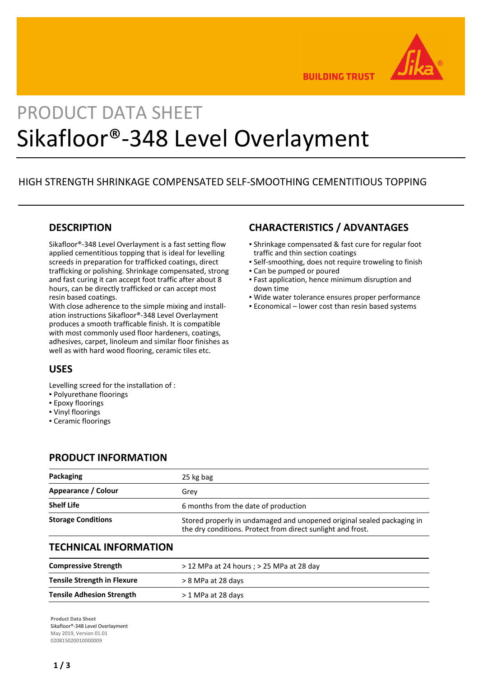

**BUILDING TRUST** 

# PRODUCT DATA SHEET Sikafloor®-348 Level Overlayment

# HIGH STRENGTH SHRINKAGE COMPENSATED SELF-SMOOTHING CEMENTITIOUS TOPPING

### **DESCRIPTION**

Sikafloor®-348 Level Overlayment is a fast setting flow applied cementitious topping that is ideal for levelling screeds in preparation for trafficked coatings, direct trafficking or polishing. Shrinkage compensated, strong and fast curing it can accept foot traffic after about 8 hours, can be directly trafficked or can accept most resin based coatings.

With close adherence to the simple mixing and installation instructions Sikafloor®-348 Level Overlayment produces a smooth trafficable finish. It is compatible with most commonly used floor hardeners, coatings, adhesives, carpet, linoleum and similar floor finishes as well as with hard wood flooring, ceramic tiles etc.

# **USES**

Levelling screed for the installation of :

- Polyurethane floorings
- **Epoxy floorings**
- Vinyl floorings
- Ceramic floorings

# **PRODUCT INFORMATION**

# **CHARACTERISTICS / ADVANTAGES**

- Shrinkage compensated & fast cure for regular foot traffic and thin section coatings
- Self-smoothing, does not require troweling to finish
- Can be pumped or poured
- Fast application, hence minimum disruption and down time
- Wide water tolerance ensures proper performance
- **Economical lower cost than resin based systems**

| Packaging                 | 25 kg bag                                                                                                                             |
|---------------------------|---------------------------------------------------------------------------------------------------------------------------------------|
| Appearance / Colour       | Grev                                                                                                                                  |
| <b>Shelf Life</b>         | 6 months from the date of production                                                                                                  |
| <b>Storage Conditions</b> | Stored properly in undamaged and unopened original sealed packaging in<br>the dry conditions. Protect from direct sunlight and frost. |

### **TECHNICAL INFORMATION**

| <b>Compressive Strength</b>        | $>$ 12 MPa at 24 hours ; $>$ 25 MPa at 28 day |
|------------------------------------|-----------------------------------------------|
| <b>Tensile Strength in Flexure</b> | > 8 MPa at 28 days                            |
| <b>Tensile Adhesion Strength</b>   | > 1 MPa at 28 days                            |

**Product Data Sheet** Sikafloor®-348 Level Overlayment May 2019, Version 01.01 020815020010000009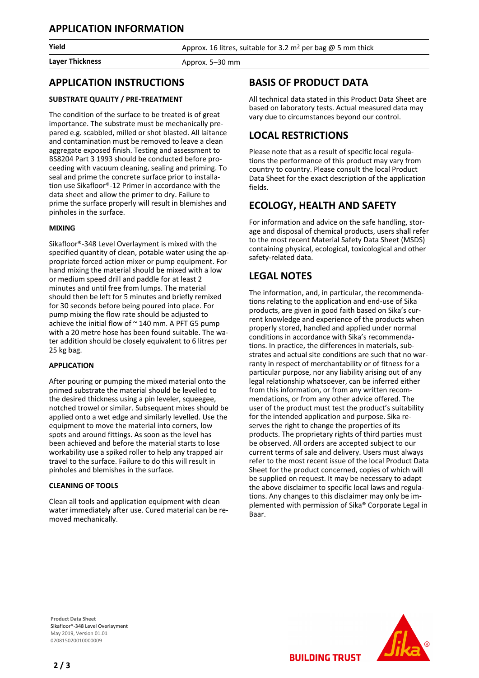Layer Thickness **Approx.** 5–30 mm

**Yield Approx.** 16 litres, suitable for 3.2 m<sup>2</sup> per bag @ 5 mm thick

## **APPLICATION INSTRUCTIONS**

#### **SUBSTRATE QUALITY / PRE-TREATMENT**

The condition of the surface to be treated is of great importance. The substrate must be mechanically prepared e.g. scabbled, milled or shot blasted. All laitance and contamination must be removed to leave a clean aggregate exposed finish. Testing and assessment to BS8204 Part 3 1993 should be conducted before proceeding with vacuum cleaning, sealing and priming. To seal and prime the concrete surface prior to installation use Sikafloor®-12 Primer in accordance with the data sheet and allow the primer to dry. Failure to prime the surface properly will result in blemishes and pinholes in the surface.

#### **MIXING**

Sikafloor®-348 Level Overlayment is mixed with the specified quantity of clean, potable water using the appropriate forced action mixer or pump equipment. For hand mixing the material should be mixed with a low or medium speed drill and paddle for at least 2 minutes and until free from lumps. The material should then be left for 5 minutes and briefly remixed for 30 seconds before being poured into place. For pump mixing the flow rate should be adjusted to achieve the initial flow of  $\sim$  140 mm. A PFT G5 pump with a 20 metre hose has been found suitable. The water addition should be closely equivalent to 6 litres per 25 kg bag.

#### **APPLICATION**

After pouring or pumping the mixed material onto the primed substrate the material should be levelled to the desired thickness using a pin leveler, squeegee, notched trowel or similar. Subsequent mixes should be applied onto a wet edge and similarly levelled. Use the equipment to move the material into corners, low spots and around fittings. As soon as the level has been achieved and before the material starts to lose workability use a spiked roller to help any trapped air travel to the surface. Failure to do this will result in pinholes and blemishes in the surface.

#### **CLEANING OF TOOLS**

Clean all tools and application equipment with clean water immediately after use. Cured material can be removed mechanically.

# **BASIS OF PRODUCT DATA**

All technical data stated in this Product Data Sheet are based on laboratory tests. Actual measured data may vary due to circumstances beyond our control.

## **LOCAL RESTRICTIONS**

Please note that as a result of specific local regulations the performance of this product may vary from country to country. Please consult the local Product Data Sheet for the exact description of the application fields.

## **ECOLOGY, HEALTH AND SAFETY**

For information and advice on the safe handling, storage and disposal of chemical products, users shall refer to the most recent Material Safety Data Sheet (MSDS) containing physical, ecological, toxicological and other safety-related data.

# **LEGAL NOTES**

The information, and, in particular, the recommendations relating to the application and end-use of Sika products, are given in good faith based on Sika's current knowledge and experience of the products when properly stored, handled and applied under normal conditions in accordance with Sika's recommendations. In practice, the differences in materials, substrates and actual site conditions are such that no warranty in respect of merchantability or of fitness for a particular purpose, nor any liability arising out of any legal relationship whatsoever, can be inferred either from this information, or from any written recommendations, or from any other advice offered. The user of the product must test the product's suitability for the intended application and purpose. Sika reserves the right to change the properties of its products. The proprietary rights of third parties must be observed. All orders are accepted subject to our current terms of sale and delivery. Users must always refer to the most recent issue of the local Product Data Sheet for the product concerned, copies of which will be supplied on request. It may be necessary to adapt the above disclaimer to specific local laws and regulations. Any changes to this disclaimer may only be implemented with permission of Sika® Corporate Legal in Baar.

**BUILDING TRUST** 

**Product Data Sheet** Sikafloor®-348 Level Overlayment May 2019, Version 01.01 020815020010000009